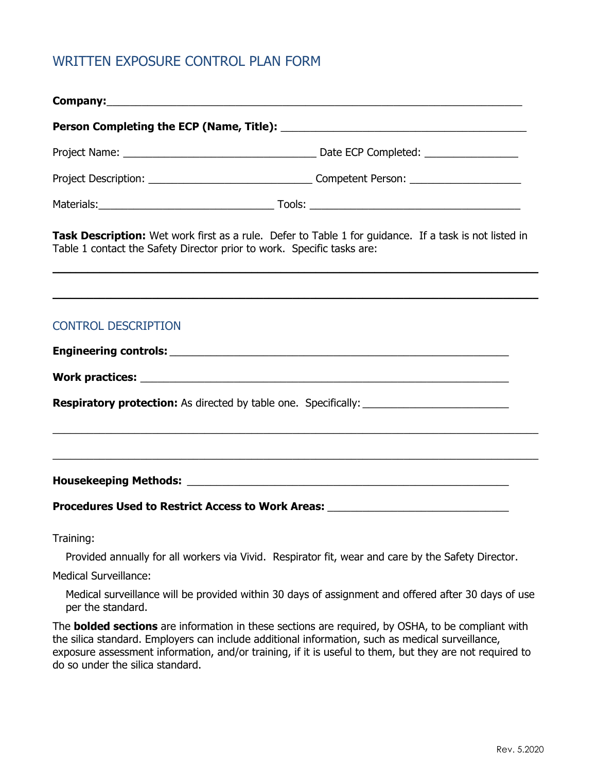## WRITTEN EXPOSURE CONTROL PLAN FORM

do so under the silica standard.

| Company: Note of the Company of the Company of the Company of the Company of the Company of the Company of the Company of the Company of the Company of the Company of the Company of the Company of the Company of the Compan |                                                                                                                                                                                                                                                                                                                         |  |
|--------------------------------------------------------------------------------------------------------------------------------------------------------------------------------------------------------------------------------|-------------------------------------------------------------------------------------------------------------------------------------------------------------------------------------------------------------------------------------------------------------------------------------------------------------------------|--|
|                                                                                                                                                                                                                                |                                                                                                                                                                                                                                                                                                                         |  |
|                                                                                                                                                                                                                                |                                                                                                                                                                                                                                                                                                                         |  |
|                                                                                                                                                                                                                                |                                                                                                                                                                                                                                                                                                                         |  |
|                                                                                                                                                                                                                                | Task Description: Wet work first as a rule. Defer to Table 1 for guidance. If a task is not listed in<br>Table 1 contact the Safety Director prior to work. Specific tasks are:<br>,我们也不会有什么。""我们的人,我们也不会有什么?""我们的人,我们也不会有什么?""我们的人,我们也不会有什么?""我们的人,我们也不会有什么?""我们的人                                                     |  |
|                                                                                                                                                                                                                                | <u> 1989 - Andrea Santa Andrea Santa Andrea Santa Andrea Santa Andrea Santa Andrea Santa Andrea Santa Andrea San</u>                                                                                                                                                                                                    |  |
| <b>CONTROL DESCRIPTION</b>                                                                                                                                                                                                     |                                                                                                                                                                                                                                                                                                                         |  |
|                                                                                                                                                                                                                                |                                                                                                                                                                                                                                                                                                                         |  |
|                                                                                                                                                                                                                                |                                                                                                                                                                                                                                                                                                                         |  |
|                                                                                                                                                                                                                                |                                                                                                                                                                                                                                                                                                                         |  |
|                                                                                                                                                                                                                                |                                                                                                                                                                                                                                                                                                                         |  |
|                                                                                                                                                                                                                                |                                                                                                                                                                                                                                                                                                                         |  |
|                                                                                                                                                                                                                                | Procedures Used to Restrict Access to Work Areas: Network and Areas and Area and Area and Area and Area and Ar                                                                                                                                                                                                          |  |
| Training:                                                                                                                                                                                                                      |                                                                                                                                                                                                                                                                                                                         |  |
|                                                                                                                                                                                                                                | Provided annually for all workers via Vivid. Respirator fit, wear and care by the Safety Director.                                                                                                                                                                                                                      |  |
| <b>Medical Surveillance:</b>                                                                                                                                                                                                   |                                                                                                                                                                                                                                                                                                                         |  |
| per the standard.                                                                                                                                                                                                              | Medical surveillance will be provided within 30 days of assignment and offered after 30 days of use                                                                                                                                                                                                                     |  |
|                                                                                                                                                                                                                                | The <b>bolded sections</b> are information in these sections are required, by OSHA, to be compliant with<br>the silica standard. Employers can include additional information, such as medical surveillance,<br>exposure assessment information, and/or training, if it is useful to them, but they are not required to |  |